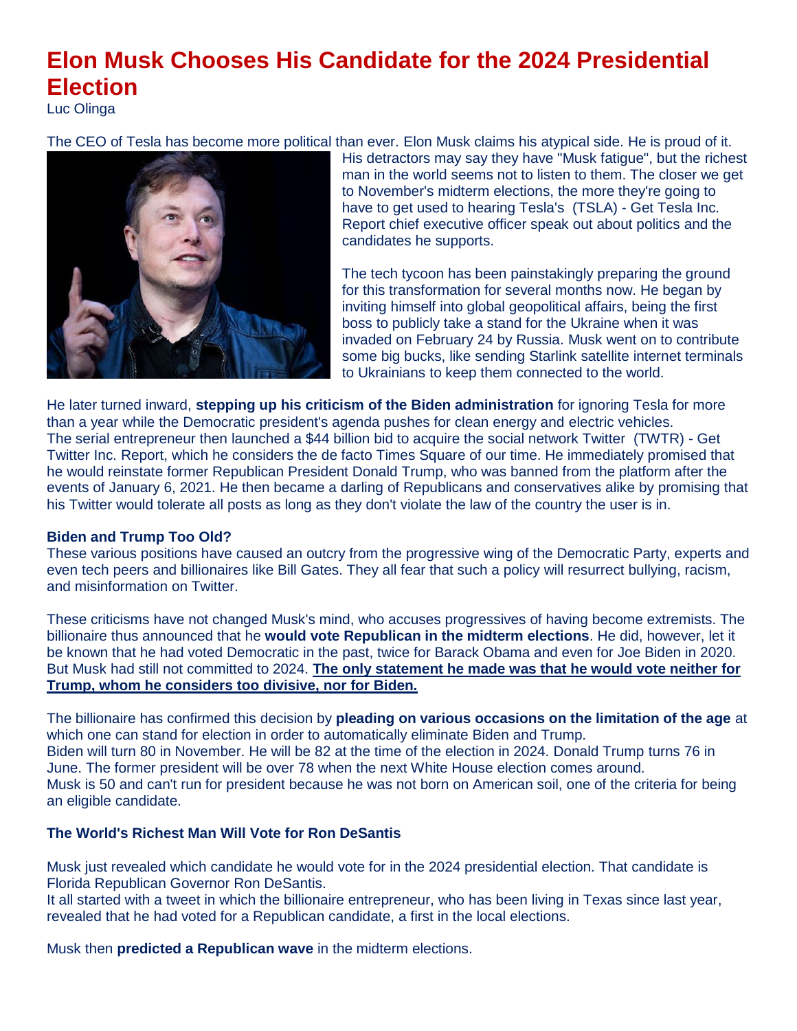## **Elon Musk Chooses His Candidate for the 2024 Presidential Election**

Luc Olinga

[The CEO of Tesla has become more political](https://www.msn.com/en-us/news/politics/elon-musk-chooses-his-candidate-for-the-2024-presidential-election/ar-AAYvcdF?ocid=msedgntp&cvid=86c54f0aea1847348a8c3c5a6f7522ff&fullscreen=true#image=1) than ever. Elon Musk claims his atypical side. He is proud of it.



His detractors may say they have "Musk fatigue", but the richest man in the world seems not to listen to them. The closer we get to November's midterm elections, the more they're going to have to get used to hearing Tesla's [\(TSLA\)](https://www.thestreet.com/quote/TSLA) - [Get Tesla Inc.](https://secure2.thestreet.com/cap/prm.do?OID=033365&ticker=TSLA)  [Report](https://secure2.thestreet.com/cap/prm.do?OID=033365&ticker=TSLA) chief executive officer speak out about politics and the candidates he supports.

The tech tycoon has been painstakingly preparing the ground for this transformation for several months now. He began by inviting himself into global geopolitical affairs, being the first boss to publicly take a stand for the Ukraine when it was invaded on February 24 by Russia. Musk went on to contribute some big bucks, like [sending Starlink satellite internet terminals](https://www.thestreet.com/technology/elon-musks-aid-to-ukraine-pays-off)  [to Ukrainians](https://www.thestreet.com/technology/elon-musks-aid-to-ukraine-pays-off) to keep them connected to the world.

He later turned inward, **[stepping up his criticism of the Biden administration](https://www.thestreet.com/technology/president-joe-biden-chooses-to-ease-tensions-with-elon-musk)** for ignoring Tesla for more than a year while the Democratic president's agenda pushes for clean energy and electric vehicles. The serial entrepreneur then [launched a \\$44 billion bid to acquire the social network Twitter](https://www.thestreet.com/phildavis/news/is-elon-musk-getting-cold-feet-why-the-entrepreneur-may-be-trying-to-pull-out-of-buying-twitter) [\(TWTR\)](https://www.thestreet.com/quote/TWTR) - [Get](https://secure2.thestreet.com/cap/prm.do?OID=033365&ticker=TWTR)  [Twitter Inc. Report,](https://secure2.thestreet.com/cap/prm.do?OID=033365&ticker=TWTR) which he considers the de facto Times Square of our time. He immediately promised that he would reinstate former Republican President Donald Trump, who was banned from the platform after the events of January 6, 2021. He then became a darling of Republicans and conservatives alike by promising that his Twitter would tolerate all posts as long as they don't violate the law of the country the user is in.

## **Biden and Trump Too Old?**

These various positions have caused an outcry from the progressive wing of the Democratic Party, experts and even tech peers and billionaires like Bill Gates. They all fear that such a policy will resurrect bullying, racism, and misinformation on Twitter.

These criticisms have not changed Musk's mind, who accuses progressives of having become extremists. The billionaire thus announced that he **would vote Republican in the midterm elections**. He did, however, let it be known that he had voted Democratic in the past, twice for Barack Obama and even for Joe Biden in 2020. But Musk had still not committed to 2024. **The only statement he made was that he would vote neither for Trump, whom he considers too divisive, nor for Biden.**

The billionaire has confirmed this decision by **pleading on various occasions on the limitation of the age** at which one can stand for election in order to automatically eliminate Biden and Trump. Biden will turn 80 in November. He will be 82 at the time of the election in 2024. Donald Trump turns 76 in June. The former president will be over 78 when the next White House election comes around. Musk is 50 and can't run for president because he was not born on American soil, one of the criteria for being an eligible candidate.

## **The World's Richest Man Will Vote for Ron DeSantis**

Musk just revealed which candidate he would vote for in the 2024 presidential election. That candidate is Florida Republican Governor Ron DeSantis.

It all started with a tweet in which the billionaire entrepreneur, who has been living in Texas since last year, revealed that he had voted for a Republican candidate, a first in the local elections.

Musk then **predicted a Republican wave** in the midterm elections.